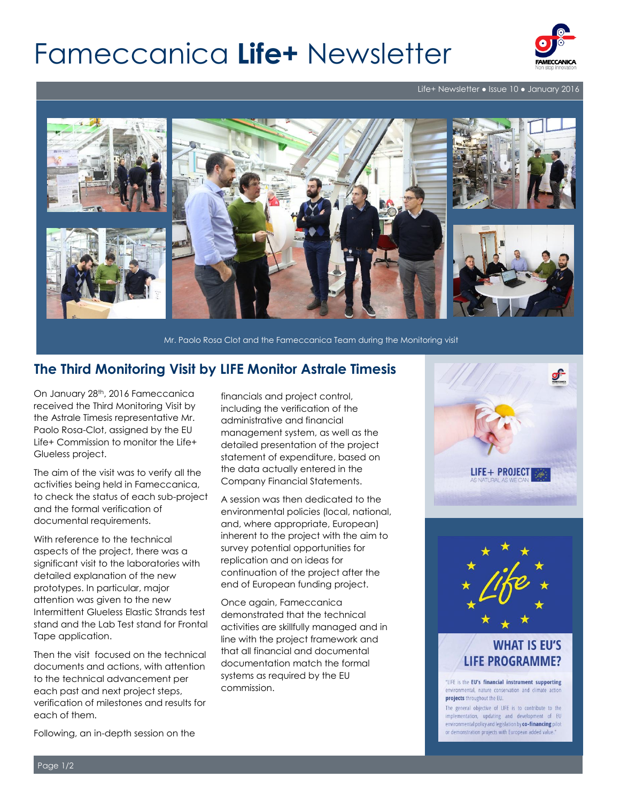# Fameccanica **Life+** Newsletter



Life+ Newsletter ● Issue 10 ● January 2016



Mr. Paolo Rosa Clot and the Fameccanica Team during the Monitoring visit

#### **The Third Monitoring Visit by LIFE Monitor Astrale Timesis**

On January 28th, 2016 Fameccanica received the Third Monitoring Visit by the Astrale Timesis representative Mr. Paolo Rosa-Clot, assigned by the EU Life+ Commission to monitor the Life+ Glueless project.

The aim of the visit was to verify all the activities being held in Fameccanica, to check the status of each sub-project and the formal verification of documental requirements.

With reference to the technical aspects of the project, there was a significant visit to the laboratories with detailed explanation of the new prototypes. In particular, major attention was given to the new Intermittent Glueless Elastic Strands test stand and the Lab Test stand for Frontal Tape application.

Then the visit focused on the technical documents and actions, with attention to the technical advancement per each past and next project steps, verification of milestones and results for each of them.

financials and project control, including the verification of the administrative and financial management system, as well as the detailed presentation of the project statement of expenditure, based on the data actually entered in the Company Financial Statements.

A session was then dedicated to the environmental policies (local, national, and, where appropriate, European) inherent to the project with the aim to survey potential opportunities for replication and on ideas for continuation of the project after the end of European funding project.

Once again, Fameccanica demonstrated that the technical activities are skillfully managed and in line with the project framework and that all financial and documental documentation match the formal systems as required by the EU commission.



### **WHAT IS EU'S LIFE PROGRAMME?**

"LIFE is the EU's financial instrument supporting environmental, nature conservation and climate action projects throughout the EU.

The general objective of LIFE is to contribute to the implementation, updating and development of EU environmental policy and legislation by co-financing pilot or demonstration projects with European added value.

Following, an in-depth session on the